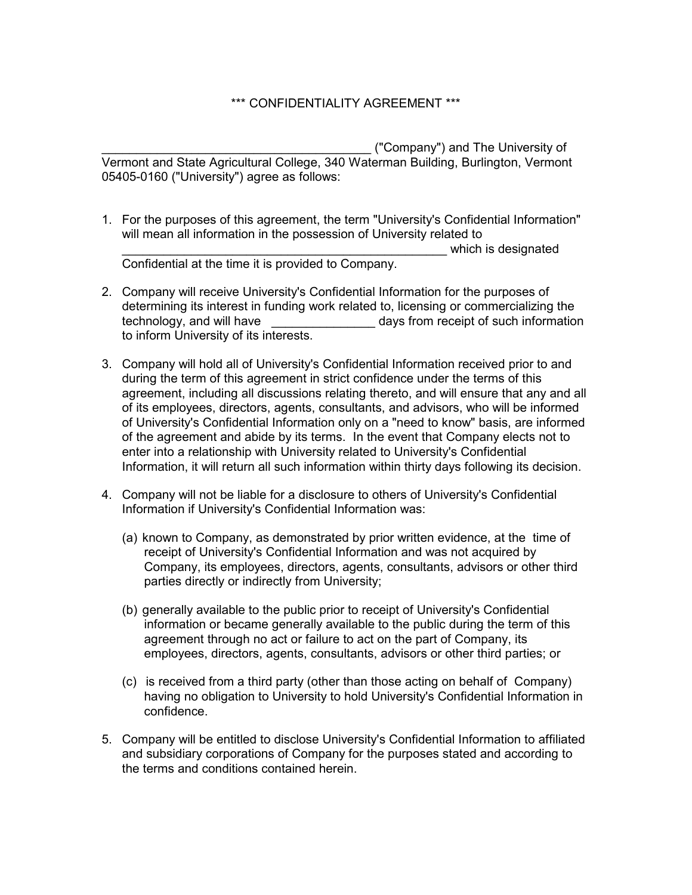## \*\*\* CONFIDENTIALITY AGREEMENT \*\*\*

\_\_\_\_\_\_\_\_\_\_\_\_\_\_\_\_\_\_\_\_\_\_\_\_\_\_\_\_\_\_\_\_\_\_\_\_\_\_\_ ("Company") and The University of Vermont and State Agricultural College, 340 Waterman Building, Burlington, Vermont 05405-0160 ("University") agree as follows:

- 1. For the purposes of this agreement, the term "University's Confidential Information" will mean all information in the possession of University related to which is designated Confidential at the time it is provided to Company.
- 2. Company will receive University's Confidential Information for the purposes of determining its interest in funding work related to, licensing or commercializing the technology, and will have  $\frac{1}{2}$  days from receipt of such information to inform University of its interests.
- 3. Company will hold all of University's Confidential Information received prior to and during the term of this agreement in strict confidence under the terms of this agreement, including all discussions relating thereto, and will ensure that any and all of its employees, directors, agents, consultants, and advisors, who will be informed of University's Confidential Information only on a "need to know" basis, are informed of the agreement and abide by its terms. In the event that Company elects not to enter into a relationship with University related to University's Confidential Information, it will return all such information within thirty days following its decision.
- 4. Company will not be liable for a disclosure to others of University's Confidential Information if University's Confidential Information was:
	- (a) known to Company, as demonstrated by prior written evidence, at the time of receipt of University's Confidential Information and was not acquired by Company, its employees, directors, agents, consultants, advisors or other third parties directly or indirectly from University;
	- (b) generally available to the public prior to receipt of University's Confidential information or became generally available to the public during the term of this agreement through no act or failure to act on the part of Company, its employees, directors, agents, consultants, advisors or other third parties; or
	- (c) is received from a third party (other than those acting on behalf of Company) having no obligation to University to hold University's Confidential Information in confidence.
- 5. Company will be entitled to disclose University's Confidential Information to affiliated and subsidiary corporations of Company for the purposes stated and according to the terms and conditions contained herein.